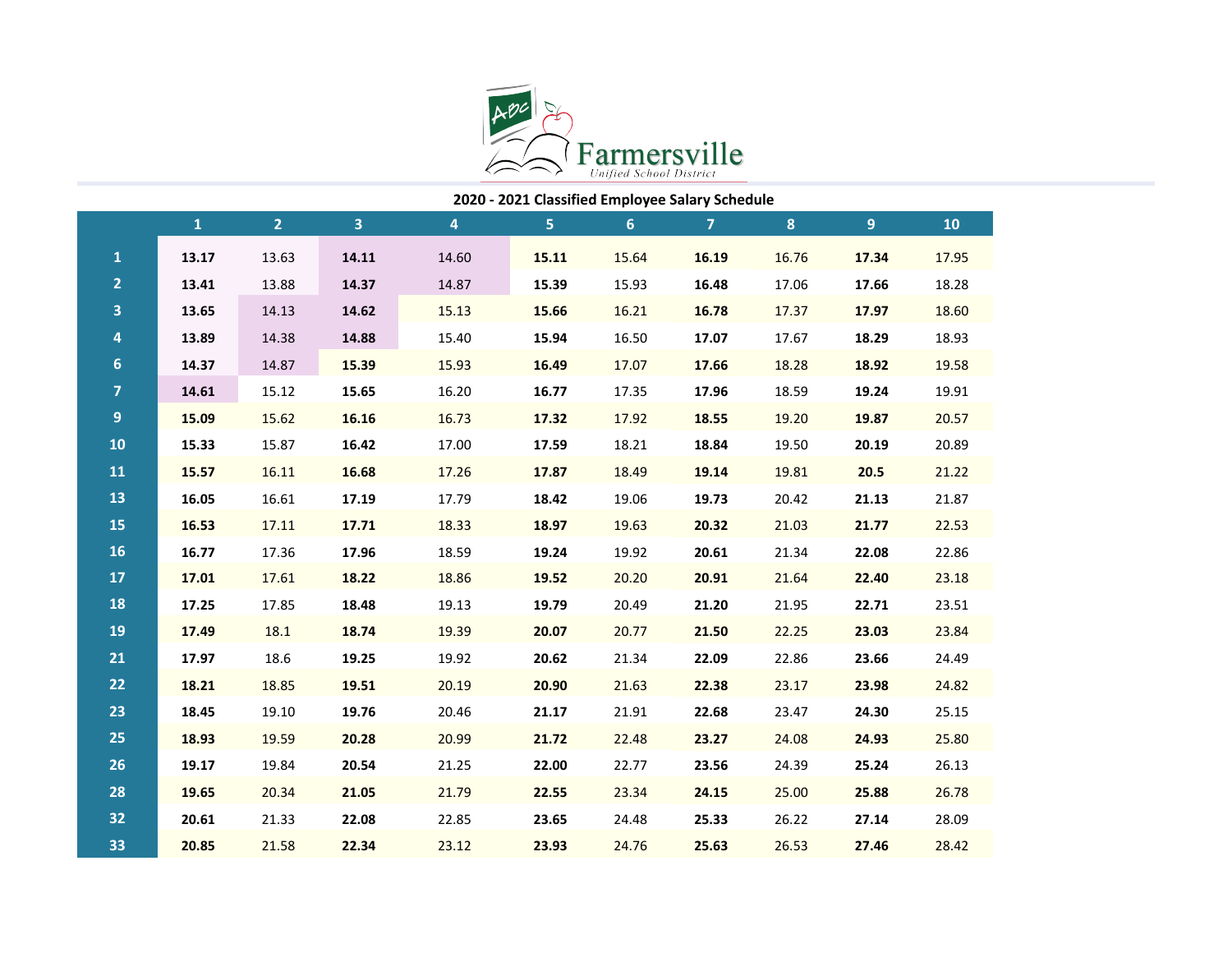

|                | 2020 - 2021 Classified Employee Salary Schedule |                |       |                |       |       |                |          |                  |       |
|----------------|-------------------------------------------------|----------------|-------|----------------|-------|-------|----------------|----------|------------------|-------|
|                | $\mathbf{1}$                                    | $\overline{2}$ | 3     | $\overline{4}$ | 5     | 6     | $\overline{7}$ | $\bf{8}$ | $\boldsymbol{9}$ | 10    |
| $\mathbf 1$    | 13.17                                           | 13.63          | 14.11 | 14.60          | 15.11 | 15.64 | 16.19          | 16.76    | 17.34            | 17.95 |
| $\overline{2}$ | 13.41                                           | 13.88          | 14.37 | 14.87          | 15.39 | 15.93 | 16.48          | 17.06    | 17.66            | 18.28 |
| 3              | 13.65                                           | 14.13          | 14.62 | 15.13          | 15.66 | 16.21 | 16.78          | 17.37    | 17.97            | 18.60 |
| 4              | 13.89                                           | 14.38          | 14.88 | 15.40          | 15.94 | 16.50 | 17.07          | 17.67    | 18.29            | 18.93 |
| $6\phantom{a}$ | 14.37                                           | 14.87          | 15.39 | 15.93          | 16.49 | 17.07 | 17.66          | 18.28    | 18.92            | 19.58 |
| $\overline{7}$ | 14.61                                           | 15.12          | 15.65 | 16.20          | 16.77 | 17.35 | 17.96          | 18.59    | 19.24            | 19.91 |
| 9              | 15.09                                           | 15.62          | 16.16 | 16.73          | 17.32 | 17.92 | 18.55          | 19.20    | 19.87            | 20.57 |
| 10             | 15.33                                           | 15.87          | 16.42 | 17.00          | 17.59 | 18.21 | 18.84          | 19.50    | 20.19            | 20.89 |
| 11             | 15.57                                           | 16.11          | 16.68 | 17.26          | 17.87 | 18.49 | 19.14          | 19.81    | 20.5             | 21.22 |
| 13             | 16.05                                           | 16.61          | 17.19 | 17.79          | 18.42 | 19.06 | 19.73          | 20.42    | 21.13            | 21.87 |
| 15             | 16.53                                           | 17.11          | 17.71 | 18.33          | 18.97 | 19.63 | 20.32          | 21.03    | 21.77            | 22.53 |
| 16             | 16.77                                           | 17.36          | 17.96 | 18.59          | 19.24 | 19.92 | 20.61          | 21.34    | 22.08            | 22.86 |
| 17             | 17.01                                           | 17.61          | 18.22 | 18.86          | 19.52 | 20.20 | 20.91          | 21.64    | 22.40            | 23.18 |
| 18             | 17.25                                           | 17.85          | 18.48 | 19.13          | 19.79 | 20.49 | 21.20          | 21.95    | 22.71            | 23.51 |
| 19             | 17.49                                           | 18.1           | 18.74 | 19.39          | 20.07 | 20.77 | 21.50          | 22.25    | 23.03            | 23.84 |
| 21             | 17.97                                           | 18.6           | 19.25 | 19.92          | 20.62 | 21.34 | 22.09          | 22.86    | 23.66            | 24.49 |
| 22             | 18.21                                           | 18.85          | 19.51 | 20.19          | 20.90 | 21.63 | 22.38          | 23.17    | 23.98            | 24.82 |
| 23             | 18.45                                           | 19.10          | 19.76 | 20.46          | 21.17 | 21.91 | 22.68          | 23.47    | 24.30            | 25.15 |
| 25             | 18.93                                           | 19.59          | 20.28 | 20.99          | 21.72 | 22.48 | 23.27          | 24.08    | 24.93            | 25.80 |
| 26             | 19.17                                           | 19.84          | 20.54 | 21.25          | 22.00 | 22.77 | 23.56          | 24.39    | 25.24            | 26.13 |
| 28             | 19.65                                           | 20.34          | 21.05 | 21.79          | 22.55 | 23.34 | 24.15          | 25.00    | 25.88            | 26.78 |
| 32             | 20.61                                           | 21.33          | 22.08 | 22.85          | 23.65 | 24.48 | 25.33          | 26.22    | 27.14            | 28.09 |
| 33             | 20.85                                           | 21.58          | 22.34 | 23.12          | 23.93 | 24.76 | 25.63          | 26.53    | 27.46            | 28.42 |